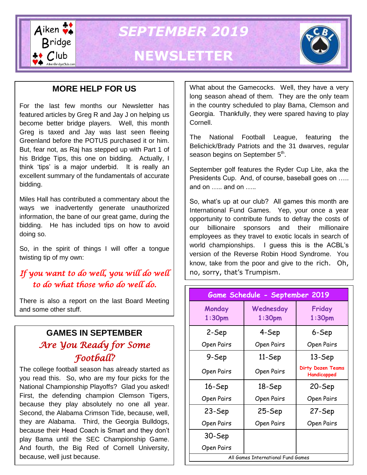

*SEPTEMBER 2019*

# **NEWSLETTER**



### **MORE HELP FOR US**

For the last few months our Newsletter has featured articles by Greg R and Jay J on helping us become better bridge players. Well, this month Greg is taxed and Jay was last seen fleeing Greenland before the POTUS purchased it or him. But, fear not, as Raj has stepped up with Part 1 of his Bridge Tips, this one on bidding. Actually, I think 'tips' is a major underbid. It is really an excellent summary of the fundamentals of accurate bidding.

Miles Hall has contributed a commentary about the ways we inadvertently generate unauthorized information, the bane of our great game, during the bidding. He has included tips on how to avoid doing so.

So, in the spirit of things I will offer a tongue twisting tip of my own:

## *If you want to do well, you will do well to do what those who do well do.*

There is also a report on the last Board Meeting and some other stuff.

## **GAMES IN SEPTEMBER** *Are You Ready for Some Football?*

The college football season has already started as you read this. So, who are my four picks for the National Championship Playoffs? Glad you asked! First, the defending champion Clemson Tigers, because they play absolutely no one all year. Second, the Alabama Crimson Tide, because, well, they are Alabama. Third, the Georgia Bulldogs, because their Head Coach is Smart and they don't play Bama until the SEC Championship Game. And fourth, the Big Red of Cornell University, because, well just because.

What about the Gamecocks. Well, they have a very long season ahead of them. They are the only team in the country scheduled to play Bama, Clemson and Georgia. Thankfully, they were spared having to play Cornell.

The National Football League, featuring the Belichick/Brady Patriots and the 31 dwarves, regular season begins on September 5<sup>th</sup>.

September golf features the Ryder Cup Lite, aka the Presidents Cup. And, of course, baseball goes on ….. and on ….. and on …..

So, what's up at our club? All games this month are International Fund Games. Yep, your once a year opportunity to contribute funds to defray the costs of our billionaire sponsors and their millionaire employees as they travel to exotic locals in search of world championships. I guess this is the ACBL's version of the Reverse Robin Hood Syndrome. You know, take from the poor and give to the rich. Oh, no, sorry, that's Trumpism.

| Game Schedule - September 2019     |                                 |                                  |
|------------------------------------|---------------------------------|----------------------------------|
| Monday<br>$1:30$ pm                | Wednesday<br>1:30 <sub>pm</sub> | Friday<br>1:30 <sub>pm</sub>     |
| 2-Sep                              | 4-Sep                           | 6-Sep                            |
| Open Pairs                         | Open Pairs                      | Open Pairs                       |
| 9-Sep                              | 11-Sep                          | 13-Sep                           |
| Open Pairs                         | Open Pairs                      | Dirty Dozen Teams<br>Handicapped |
| 16-Sep                             | 18-Sep                          | 20-Sep                           |
| Open Pairs                         | Open Pairs                      | Open Pairs                       |
| 23-Sep                             | 25-Sep                          | 27-Sep                           |
| Open Pairs                         | Open Pairs                      | Open Pairs                       |
| 30-Sep                             |                                 |                                  |
| Open Pairs                         |                                 |                                  |
| All Games International Fund Games |                                 |                                  |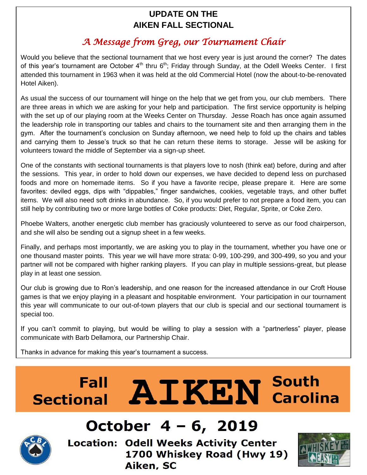## **UPDATE ON THE AIKEN FALL SECTIONAL**

# *A Message from Greg, our Tournament Chair*

Would you believe that the sectional tournament that we host every year is just around the corner? The dates of this year's tournament are October  $4<sup>th</sup>$  thru  $6<sup>th</sup>$ ; Friday through Sunday, at the Odell Weeks Center. I first attended this tournament in 1963 when it was held at the old Commercial Hotel (now the about-to-be-renovated Hotel Aiken).

As usual the success of our tournament will hinge on the help that we get from you, our club members. There are three areas in which we are asking for your help and participation. The first service opportunity is helping with the set up of our playing room at the Weeks Center on Thursday. Jesse Roach has once again assumed the leadership role in transporting our tables and chairs to the tournament site and then arranging them in the gym. After the tournament's conclusion on Sunday afternoon, we need help to fold up the chairs and tables and carrying them to Jesse's truck so that he can return these items to storage. Jesse will be asking for volunteers toward the middle of September via a sign-up sheet.

One of the constants with sectional tournaments is that players love to nosh (think eat) before, during and after the sessions. This year, in order to hold down our expenses, we have decided to depend less on purchased foods and more on homemade items. So if you have a favorite recipe, please prepare it. Here are some favorites: deviled eggs, dips with "dippables," finger sandwiches, cookies, vegetable trays, and other buffet items. We will also need soft drinks in abundance. So, if you would prefer to not prepare a food item, you can still help by contributing two or more large bottles of Coke products: Diet, Regular, Sprite, or Coke Zero.

Phoebe Walters, another energetic club member has graciously volunteered to serve as our food chairperson, and she will also be sending out a signup sheet in a few weeks.

Finally, and perhaps most importantly, we are asking you to play in the tournament, whether you have one or one thousand master points. This year we will have more strata: 0-99, 100-299, and 300-499, so you and your partner will not be compared with higher ranking players. If you can play in multiple sessions-great, but please play in at least one session.

Our club is growing due to Ron's leadership, and one reason for the increased attendance in our Croft House games is that we enjoy playing in a pleasant and hospitable environment. Your participation in our tournament this year will communicate to our out-of-town players that our club is special and our sectional tournament is special too.

If you can't commit to playing, but would be willing to play a session with a "partnerless" player, please communicate with Barb Dellamora, our Partnership Chair.

Thanks in advance for making this year's tournament a success.

# **AIKEN** South **Fall Sectional**



# October 4 – 6, 2019

**Location: Odell Weeks Activity Center** 1700 Whiskey Road (Hwy 19) Aiken, SC

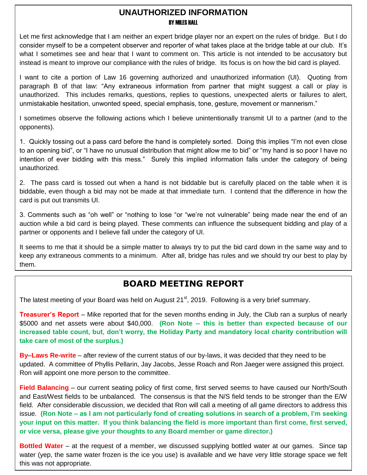### **UNAUTHORIZED INFORMATION** BY MILES HALL

Let me first acknowledge that I am neither an expert bridge player nor an expert on the rules of bridge. But I do consider myself to be a competent observer and reporter of what takes place at the bridge table at our club. It's what I sometimes see and hear that I want to comment on. This article is not intended to be accusatory but instead is meant to improve our compliance with the rules of bridge. Its focus is on how the bid card is played.

I want to cite a portion of Law 16 governing authorized and unauthorized information (UI). Quoting from paragraph B of that law: "Any extraneous information from partner that might suggest a call or play is unauthorized. This includes remarks, questions, replies to questions, unexpected alerts or failures to alert, unmistakable hesitation, unwonted speed, special emphasis, tone, gesture, movement or mannerism."

I sometimes observe the following actions which I believe unintentionally transmit UI to a partner (and to the opponents).

1. Quickly tossing out a pass card before the hand is completely sorted. Doing this implies "I'm not even close to an opening bid", or "I have no unusual distribution that might allow me to bid" or "my hand is so poor I have no intention of ever bidding with this mess." Surely this implied information falls under the category of being unauthorized.

2. The pass card is tossed out when a hand is not biddable but is carefully placed on the table when it is biddable, even though a bid may not be made at that immediate turn. I contend that the difference in how the card is put out transmits UI.

3. Comments such as "oh well" or "nothing to lose "or "we're not vulnerable" being made near the end of an auction while a bid card is being played. These comments can influence the subsequent bidding and play of a partner or opponents and I believe fall under the category of UI.

It seems to me that it should be a simple matter to always try to put the bid card down in the same way and to keep any extraneous comments to a minimum. After all, bridge has rules and we should try our best to play by them.

## **BOARD MEETING REPORT**

The latest meeting of your Board was held on August  $21<sup>st</sup>$ , 2019. Following is a very brief summary.

**Treasurer's Report** – Mike reported that for the seven months ending in July, the Club ran a surplus of nearly \$5000 and net assets were about \$40,000. **(Ron Note -- this is better than expected because of our increased table count, but, don't worry, the Holiday Party and mandatory local charity contribution will take care of most of the surplus.)**

**By–Laws Re-write** – after review of the current status of our by-laws, it was decided that they need to be updated. A committee of Phyllis Pellarin, Jay Jacobs, Jesse Roach and Ron Jaeger were assigned this project. Ron will appoint one more person to the committee.

**Field Balancing** – our current seating policy of first come, first served seems to have caused our North/South and East/West fields to be unbalanced. The consensus is that the N/S field tends to be stronger than the E/W field. After considerable discussion, we decided that Ron will call a meeting of all game directors to address this issue. **(Ron Note – as I am not particularly fond of creating solutions in search of a problem, I'm seeking your input on this matter. If you think balancing the field is more important than first come, first served, or vice versa, please give your thoughts to any Board member or game director.)**

**Bottled Water** – at the request of a member, we discussed supplying bottled water at our games. Since tap water (yep, the same water frozen is the ice you use) is available and we have very little storage space we felt this was not appropriate.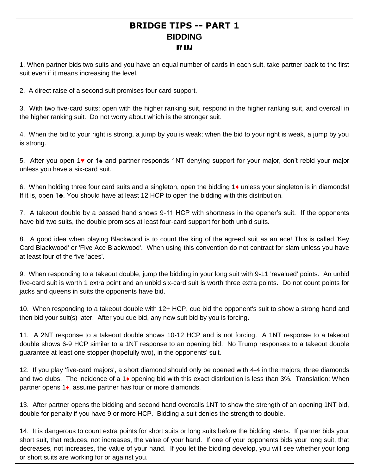### **BRIDGE TIPS -- PART 1 BIDDING** BY RAJ

1. When partner bids two suits and you have an equal number of cards in each suit, take partner back to the first suit even if it means increasing the level.

2. A direct raise of a second suit promises four card support.

3. With two five-card suits: open with the higher ranking suit, respond in the higher ranking suit, and overcall in the higher ranking suit. Do not worry about which is the stronger suit.

4. When the bid to your right is strong, a jump by you is weak; when the bid to your right is weak, a jump by you is strong.

5. After you open 1♥ or 1♠ and partner responds 1NT denying support for your major, don't rebid your major unless you have a six-card suit.

6. When holding three four card suits and a singleton, open the bidding 1♦ unless your singleton is in diamonds! If it is, open 1♣. You should have at least 12 HCP to open the bidding with this distribution.

7. A takeout double by a passed hand shows 9-11 HCP with shortness in the opener's suit. If the opponents have bid two suits, the double promises at least four-card support for both unbid suits.

8. A good idea when playing Blackwood is to count the king of the agreed suit as an ace! This is called 'Key Card Blackwood' or 'Five Ace Blackwood'. When using this convention do not contract for slam unless you have at least four of the five 'aces'.

jacks and queens in suits the opponents have bid. 9. When responding to a takeout double, jump the bidding in your long suit with 9-11 'revalued' points. An unbid five-card suit is worth 1 extra point and an unbid six-card suit is worth three extra points. Do not count points for

10. When responding to a takeout double with 12+ HCP, cue bid the opponent's suit to show a strong hand and then bid your suit(s) later. After you cue bid, any new suit bid by you is forcing.

**Dental Bridge** 11. A 2NT response to a takeout double shows 10-12 HCP and is not forcing. A 1NT response to a takeout double shows 6-9 HCP similar to a 1NT response to an opening bid. No Trump responses to a takeout double guarantee at least one stopper (hopefully two), in the opponents' suit.

12. If you play 'five-card majors', a short diamond should only be opened with 4-4 in the majors, three diamonds and two clubs. The incidence of a 1♦ opening bid with this exact distribution is less than 3%. Translation: When partner opens 1♦, assume partner has four or more diamonds.

13. After partner opens the bidding and second hand overcalls 1NT to show the strength of an opening 1NT bid, double for penalty if you have 9 or more HCP. Bidding a suit denies the strength to double.

14. It is dangerous to count extra points for short suits or long suits before the bidding starts. If partner bids your short suit, that reduces, not increases, the value of your hand. If one of your opponents bids your long suit, that decreases, not increases, the value of your hand. If you let the bidding develop, you will see whether your long or short suits are working for or against you.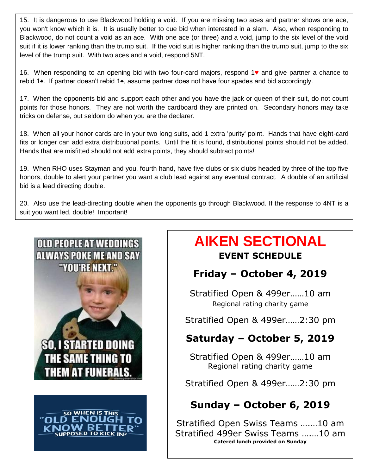15. It is dangerous to use Blackwood holding a void. If you are missing two aces and partner shows one ace, you won't know which it is. It is usually better to cue bid when interested in a slam. Also, when responding to Blackwood, do not count a void as an ace. With one ace (or three) and a void, jump to the six level of the void suit if it is lower ranking than the trump suit. If the void suit is higher ranking than the trump suit, jump to the six level of the trump suit. With two aces and a void, respond 5NT.

16. When responding to an opening bid with two four-card majors, respond 1♥ and give partner a chance to rebid 1♠. If partner doesn't rebid 1♠, assume partner does not have four spades and bid accordingly.

17. When the opponents bid and support each other and you have the jack or queen of their suit, do not count points for those honors. They are not worth the cardboard they are printed on. Secondary honors may take tricks on defense, but seldom do when you are the declarer.

18. When all your honor cards are in your two long suits, add 1 extra 'purity' point. Hands that have eight-card fits or longer can add extra distributional points. Until the fit is found, distributional points should not be added. Hands that are misfitted should not add extra points, they should subtract points!

19. When RHO uses Stayman and you, fourth hand, have five clubs or six clubs headed by three of the top five honors, double to alert your partner you want a club lead against any eventual contract. A double of an artificial bid is a lead directing double.

20. Also use the lead-directing double when the opponents go through Blackwood. If the response to 4NT is a suit you want led, double! Important!





# **AIKEN SECTIONAL EVENT SCHEDULE**

# **Friday – October 4, 2019**

Stratified Open & 499er……10 am Regional rating charity game

Stratified Open & 499er……2:30 pm

# **Saturday – October 5, 2019**

Stratified Open & 499er……10 am Regional rating charity game

Stratified Open & 499er……2:30 pm

# **Sunday – October 6, 2019**

Stratified Open Swiss Teams ….…10 am Stratified 499er Swiss Teams ….…10 am **Catered lunch provided on Sunday**